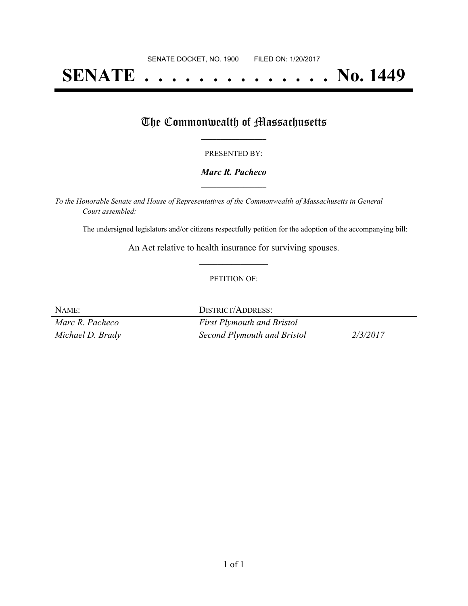# **SENATE . . . . . . . . . . . . . . No. 1449**

## The Commonwealth of Massachusetts

#### PRESENTED BY:

#### *Marc R. Pacheco* **\_\_\_\_\_\_\_\_\_\_\_\_\_\_\_\_\_**

*To the Honorable Senate and House of Representatives of the Commonwealth of Massachusetts in General Court assembled:*

The undersigned legislators and/or citizens respectfully petition for the adoption of the accompanying bill:

An Act relative to health insurance for surviving spouses. **\_\_\_\_\_\_\_\_\_\_\_\_\_\_\_**

#### PETITION OF:

| NAME:            | DISTRICT/ADDRESS:                 |          |
|------------------|-----------------------------------|----------|
| Marc R. Pacheco  | <b>First Plymouth and Bristol</b> |          |
| Michael D. Brady | Second Plymouth and Bristol       | 2/3/2017 |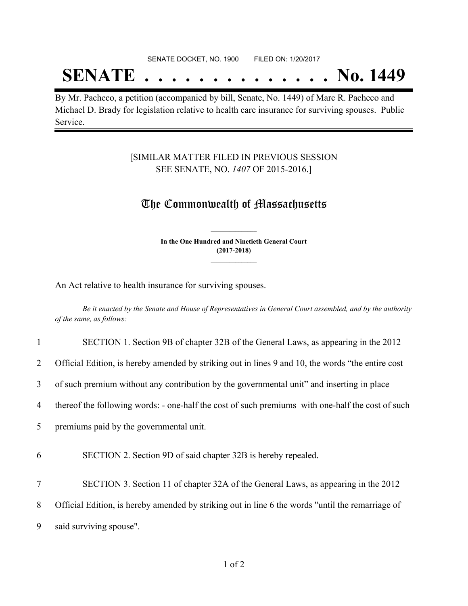#### SENATE DOCKET, NO. 1900 FILED ON: 1/20/2017

## **SENATE . . . . . . . . . . . . . . No. 1449**

By Mr. Pacheco, a petition (accompanied by bill, Senate, No. 1449) of Marc R. Pacheco and Michael D. Brady for legislation relative to health care insurance for surviving spouses. Public Service.

### [SIMILAR MATTER FILED IN PREVIOUS SESSION SEE SENATE, NO. *1407* OF 2015-2016.]

### The Commonwealth of Massachusetts

**In the One Hundred and Ninetieth General Court (2017-2018) \_\_\_\_\_\_\_\_\_\_\_\_\_\_\_**

**\_\_\_\_\_\_\_\_\_\_\_\_\_\_\_**

An Act relative to health insurance for surviving spouses.

Be it enacted by the Senate and House of Representatives in General Court assembled, and by the authority *of the same, as follows:*

| $\mathbf{1}$   | SECTION 1. Section 9B of chapter 32B of the General Laws, as appearing in the 2012                 |
|----------------|----------------------------------------------------------------------------------------------------|
| $\overline{2}$ | Official Edition, is hereby amended by striking out in lines 9 and 10, the words "the entire cost" |
| 3              | of such premium without any contribution by the governmental unit" and inserting in place          |
| 4              | thereof the following words: - one-half the cost of such premiums with one-half the cost of such   |
| 5 <sup>1</sup> | premiums paid by the governmental unit.                                                            |
| 6              | SECTION 2. Section 9D of said chapter 32B is hereby repealed.                                      |
| $\tau$         | SECTION 3. Section 11 of chapter 32A of the General Laws, as appearing in the 2012                 |
| 8              | Official Edition, is hereby amended by striking out in line 6 the words "until the remarriage of   |
| 9              | said surviving spouse".                                                                            |